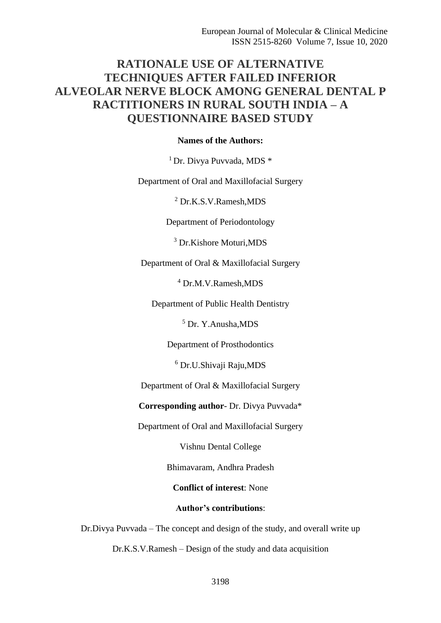# **RATIONALE USE OF ALTERNATIVE TECHNIQUES AFTER FAILED INFERIOR ALVEOLAR NERVE BLOCK AMONG GENERAL DENTAL P RACTITIONERS IN RURAL SOUTH INDIA – A QUESTIONNAIRE BASED STUDY**

# **Names of the Authors:**

<sup>1</sup> Dr. Divya Puvvada, MDS \*

Department of Oral and Maxillofacial Surgery

<sup>2</sup> Dr.K.S.V.Ramesh,MDS

Department of Periodontology

<sup>3</sup> Dr.Kishore Moturi,MDS

Department of Oral & Maxillofacial Surgery

<sup>4</sup> Dr.M.V.Ramesh,MDS

Department of Public Health Dentistry

<sup>5</sup> Dr. Y.Anusha,MDS

Department of Prosthodontics

<sup>6</sup> Dr.U.Shivaji Raju,MDS

Department of Oral & Maxillofacial Surgery

**Corresponding author**- Dr. Divya Puvvada\*

Department of Oral and Maxillofacial Surgery

Vishnu Dental College

Bhimavaram, Andhra Pradesh

**Conflict of interest**: None

## **Author's contributions**:

Dr.Divya Puvvada – The concept and design of the study, and overall write up

Dr.K.S.V.Ramesh – Design of the study and data acquisition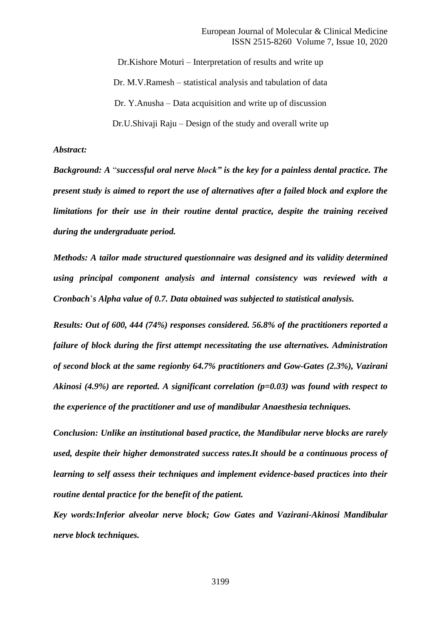Dr.Kishore Moturi – Interpretation of results and write up Dr. M.V.Ramesh – statistical analysis and tabulation of data Dr. Y.Anusha – Data acquisition and write up of discussion Dr.U.Shivaji Raju – Design of the study and overall write up

## *Abstract:*

*Background: A* "*successful oral nerve block" is the key for a painless dental practice. The present study is aimed to report the use of alternatives after a failed block and explore the limitations for their use in their routine dental practice, despite the training received during the undergraduate period.* 

*Methods: A tailor made structured questionnaire was designed and its validity determined using principal component analysis and internal consistency was reviewed with a Cronbach*'*s Alpha value of 0.7. Data obtained was subjected to statistical analysis.*

*Results: Out of 600, 444 (74%) responses considered. 56.8% of the practitioners reported a failure of block during the first attempt necessitating the use alternatives. Administration of second block at the same regionby 64.7% practitioners and Gow-Gates (2.3%), Vazirani Akinosi (4.9%) are reported. A significant correlation (p=0.03) was found with respect to the experience of the practitioner and use of mandibular Anaesthesia techniques.*

*Conclusion: Unlike an institutional based practice, the Mandibular nerve blocks are rarely used, despite their higher demonstrated success rates.It should be a continuous process of learning to self assess their techniques and implement evidence-based practices into their routine dental practice for the benefit of the patient.*

*Key words:Inferior alveolar nerve block; Gow Gates and Vazirani-Akinosi Mandibular nerve block techniques.*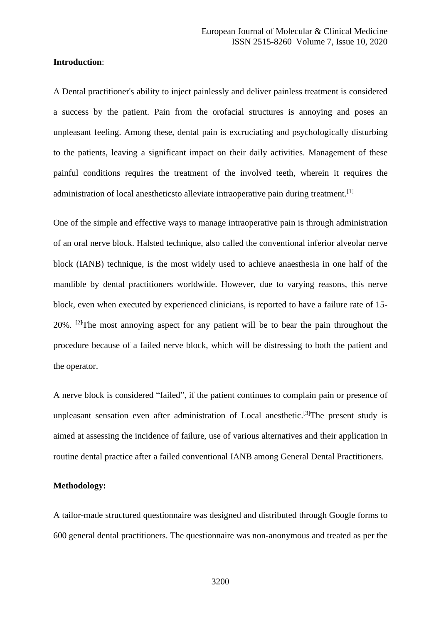# **Introduction**:

A Dental practitioner's ability to inject painlessly and deliver painless treatment is considered a success by the patient. Pain from the orofacial structures is annoying and poses an unpleasant feeling. Among these, dental pain is excruciating and psychologically disturbing to the patients, leaving a significant impact on their daily activities. Management of these painful conditions requires the treatment of the involved teeth, wherein it requires the administration of local anestheticsto alleviate intraoperative pain during treatment.<sup>[1]</sup>

One of the simple and effective ways to manage intraoperative pain is through administration of an oral nerve block. Halsted technique, also called the conventional inferior alveolar nerve block (IANB) technique, is the most widely used to achieve anaesthesia in one half of the mandible by dental practitioners worldwide. However, due to varying reasons, this nerve block, even when executed by experienced clinicians, is reported to have a failure rate of 15- 20%. [2]The most annoying aspect for any patient will be to bear the pain throughout the procedure because of a failed nerve block, which will be distressing to both the patient and the operator.

A nerve block is considered "failed", if the patient continues to complain pain or presence of unpleasant sensation even after administration of Local anesthetic.<sup>[3]</sup>The present study is aimed at assessing the incidence of failure, use of various alternatives and their application in routine dental practice after a failed conventional IANB among General Dental Practitioners.

### **Methodology:**

A tailor-made structured questionnaire was designed and distributed through Google forms to 600 general dental practitioners. The questionnaire was non-anonymous and treated as per the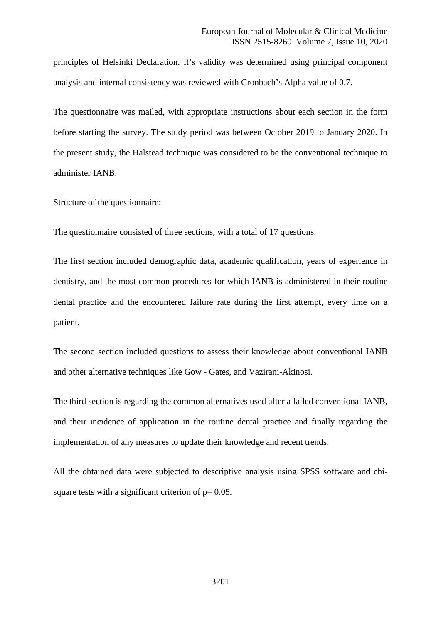principles of Helsinki Declaration. It's validity was determined using principal component analysis and internal consistency was reviewed with Cronbach's Alpha value of 0.7.

The questionnaire was mailed, with appropriate instructions about each section in the form before starting the survey. The study period was between October 2019 to January 2020. In the present study, the Halstead technique was considered to be the conventional technique to administer IANB.

Structure of the questionnaire:

The questionnaire consisted of three sections, with a total of 17 questions.

The first section included demographic data, academic qualification, years of experience in dentistry, and the most common procedures for which IANB is administered in their routine dental practice and the encountered failure rate during the first attempt, every time on a patient.

The second section included questions to assess their knowledge about conventional IANB and other alternative techniques like Gow - Gates, and Vazirani-Akinosi.

The third section is regarding the common alternatives used after a failed conventional IANB, and their incidence of application in the routine dental practice and finally regarding the implementation of any measures to update their knowledge and recent trends.

All the obtained data were subjected to descriptive analysis using SPSS software and chisquare tests with a significant criterion of  $p= 0.05$ .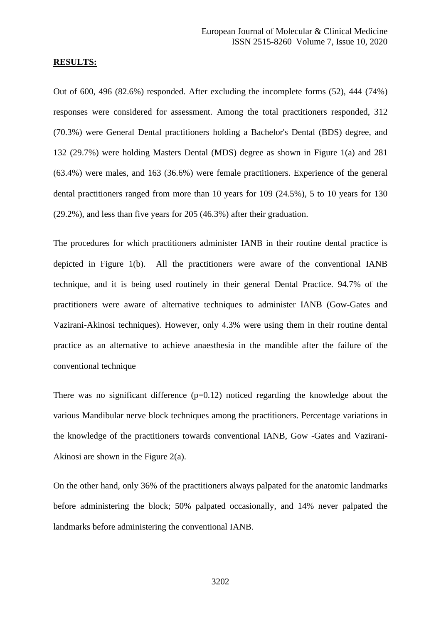#### **RESULTS:**

Out of 600, 496 (82.6%) responded. After excluding the incomplete forms (52), 444 (74%) responses were considered for assessment. Among the total practitioners responded, 312 (70.3%) were General Dental practitioners holding a Bachelor's Dental (BDS) degree, and 132 (29.7%) were holding Masters Dental (MDS) degree as shown in Figure 1(a) and 281 (63.4%) were males, and 163 (36.6%) were female practitioners. Experience of the general dental practitioners ranged from more than 10 years for 109 (24.5%), 5 to 10 years for 130 (29.2%), and less than five years for 205 (46.3%) after their graduation.

The procedures for which practitioners administer IANB in their routine dental practice is depicted in Figure 1(b). All the practitioners were aware of the conventional IANB technique, and it is being used routinely in their general Dental Practice. 94.7% of the practitioners were aware of alternative techniques to administer IANB (Gow-Gates and Vazirani-Akinosi techniques). However, only 4.3% were using them in their routine dental practice as an alternative to achieve anaesthesia in the mandible after the failure of the conventional technique

There was no significant difference  $(p=0.12)$  noticed regarding the knowledge about the various Mandibular nerve block techniques among the practitioners. Percentage variations in the knowledge of the practitioners towards conventional IANB, Gow -Gates and Vazirani-Akinosi are shown in the Figure 2(a).

On the other hand, only 36% of the practitioners always palpated for the anatomic landmarks before administering the block; 50% palpated occasionally, and 14% never palpated the landmarks before administering the conventional IANB.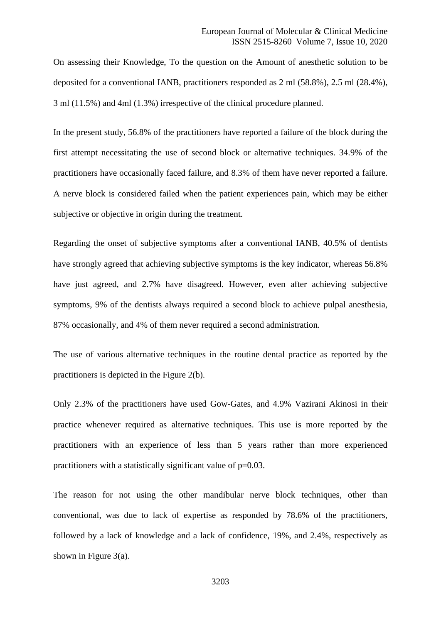On assessing their Knowledge, To the question on the Amount of anesthetic solution to be deposited for a conventional IANB, practitioners responded as 2 ml (58.8%), 2.5 ml (28.4%), 3 ml (11.5%) and 4ml (1.3%) irrespective of the clinical procedure planned.

In the present study, 56.8% of the practitioners have reported a failure of the block during the first attempt necessitating the use of second block or alternative techniques. 34.9% of the practitioners have occasionally faced failure, and 8.3% of them have never reported a failure. A nerve block is considered failed when the patient experiences pain, which may be either subjective or objective in origin during the treatment.

Regarding the onset of subjective symptoms after a conventional IANB, 40.5% of dentists have strongly agreed that achieving subjective symptoms is the key indicator, whereas 56.8% have just agreed, and 2.7% have disagreed. However, even after achieving subjective symptoms, 9% of the dentists always required a second block to achieve pulpal anesthesia, 87% occasionally, and 4% of them never required a second administration.

The use of various alternative techniques in the routine dental practice as reported by the practitioners is depicted in the Figure 2(b).

Only 2.3% of the practitioners have used Gow-Gates, and 4.9% Vazirani Akinosi in their practice whenever required as alternative techniques. This use is more reported by the practitioners with an experience of less than 5 years rather than more experienced practitioners with a statistically significant value of p=0.03.

The reason for not using the other mandibular nerve block techniques, other than conventional, was due to lack of expertise as responded by 78.6% of the practitioners, followed by a lack of knowledge and a lack of confidence, 19%, and 2.4%, respectively as shown in Figure 3(a).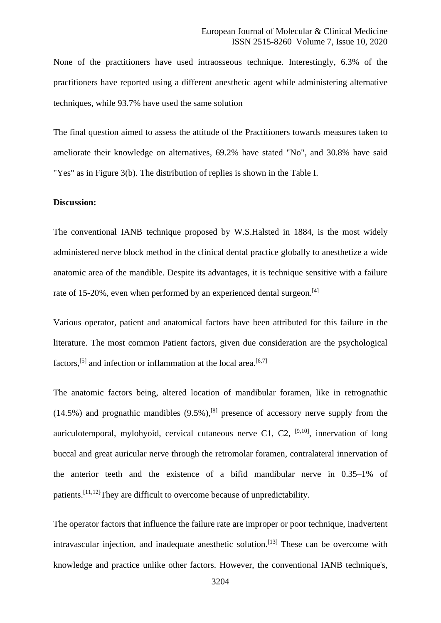None of the practitioners have used intraosseous technique. Interestingly, 6.3% of the practitioners have reported using a different anesthetic agent while administering alternative techniques, while 93.7% have used the same solution

The final question aimed to assess the attitude of the Practitioners towards measures taken to ameliorate their knowledge on alternatives, 69.2% have stated "No", and 30.8% have said "Yes" as in Figure 3(b). The distribution of replies is shown in the Table I.

# **Discussion:**

The conventional IANB technique proposed by W.S.Halsted in 1884, is the most widely administered nerve block method in the clinical dental practice globally to anesthetize a wide anatomic area of the mandible. Despite its advantages, it is technique sensitive with a failure rate of 15-20%, even when performed by an experienced dental surgeon.<sup>[4]</sup>

Various operator, patient and anatomical factors have been attributed for this failure in the literature. The most common Patient factors, given due consideration are the psychological factors,<sup>[5]</sup> and infection or inflammation at the local area.<sup>[6,7]</sup>

The anatomic factors being, altered location of mandibular foramen, like in retrognathic  $(14.5\%)$  and prognathic mandibles  $(9.5\%)$ , <sup>[8]</sup> presence of accessory nerve supply from the auriculotemporal, mylohyoid, cervical cutaneous nerve C1, C2,  $[9,10]$ , innervation of long buccal and great auricular nerve through the retromolar foramen, contralateral innervation of the anterior teeth and the existence of a bifid mandibular nerve in 0.35–1% of patients.[11,12]They are difficult to overcome because of unpredictability.

The operator factors that influence the failure rate are improper or poor technique, inadvertent intravascular injection, and inadequate anesthetic solution.<sup>[13]</sup> These can be overcome with knowledge and practice unlike other factors. However, the conventional IANB technique's,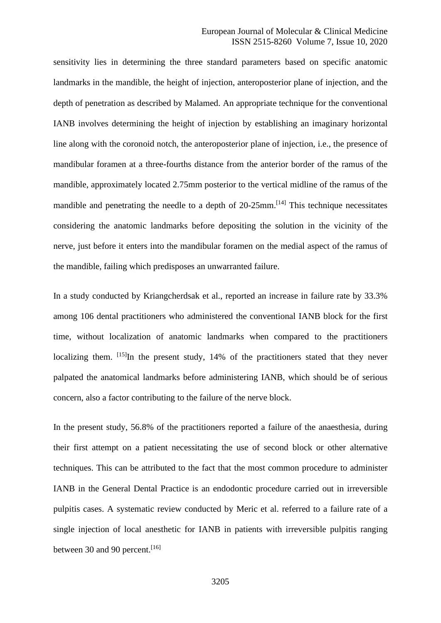sensitivity lies in determining the three standard parameters based on specific anatomic landmarks in the mandible, the height of injection, anteroposterior plane of injection, and the depth of penetration as described by Malamed. An appropriate technique for the conventional IANB involves determining the height of injection by establishing an imaginary horizontal line along with the coronoid notch, the anteroposterior plane of injection, i.e., the presence of mandibular foramen at a three-fourths distance from the anterior border of the ramus of the mandible, approximately located 2.75mm posterior to the vertical midline of the ramus of the mandible and penetrating the needle to a depth of  $20-25$ mm.<sup>[14]</sup> This technique necessitates considering the anatomic landmarks before depositing the solution in the vicinity of the nerve, just before it enters into the mandibular foramen on the medial aspect of the ramus of the mandible, failing which predisposes an unwarranted failure.

In a study conducted by Kriangcherdsak et al., reported an increase in failure rate by 33.3% among 106 dental practitioners who administered the conventional IANB block for the first time, without localization of anatomic landmarks when compared to the practitioners localizing them.  $[15]$ In the present study, 14% of the practitioners stated that they never palpated the anatomical landmarks before administering IANB, which should be of serious concern, also a factor contributing to the failure of the nerve block.

In the present study, 56.8% of the practitioners reported a failure of the anaesthesia, during their first attempt on a patient necessitating the use of second block or other alternative techniques. This can be attributed to the fact that the most common procedure to administer IANB in the General Dental Practice is an endodontic procedure carried out in irreversible pulpitis cases. A systematic review conducted by Meric et al. referred to a failure rate of a single injection of local anesthetic for IANB in patients with irreversible pulpitis ranging between 30 and 90 percent.<sup>[16]</sup>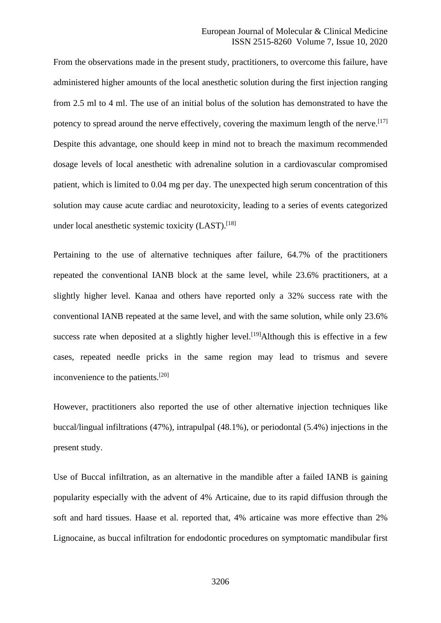From the observations made in the present study, practitioners, to overcome this failure, have administered higher amounts of the local anesthetic solution during the first injection ranging from 2.5 ml to 4 ml. The use of an initial bolus of the solution has demonstrated to have the potency to spread around the nerve effectively, covering the maximum length of the nerve.<sup>[17]</sup> Despite this advantage, one should keep in mind not to breach the maximum recommended dosage levels of local anesthetic with adrenaline solution in a cardiovascular compromised patient, which is limited to 0.04 mg per day. The unexpected high serum concentration of this solution may cause acute cardiac and neurotoxicity, leading to a series of events categorized under local anesthetic systemic toxicity (LAST).<sup>[18]</sup>

Pertaining to the use of alternative techniques after failure, 64.7% of the practitioners repeated the conventional IANB block at the same level, while 23.6% practitioners, at a slightly higher level. Kanaa and others have reported only a 32% success rate with the conventional IANB repeated at the same level, and with the same solution, while only 23.6% success rate when deposited at a slightly higher level.<sup>[19]</sup>Although this is effective in a few cases, repeated needle pricks in the same region may lead to trismus and severe inconvenience to the patients.[20]

However, practitioners also reported the use of other alternative injection techniques like buccal/lingual infiltrations (47%), intrapulpal (48.1%), or periodontal (5.4%) injections in the present study.

Use of Buccal infiltration, as an alternative in the mandible after a failed IANB is gaining popularity especially with the advent of 4% Articaine, due to its rapid diffusion through the soft and hard tissues. Haase et al. reported that, 4% articaine was more effective than 2% Lignocaine, as buccal infiltration for endodontic procedures on symptomatic mandibular first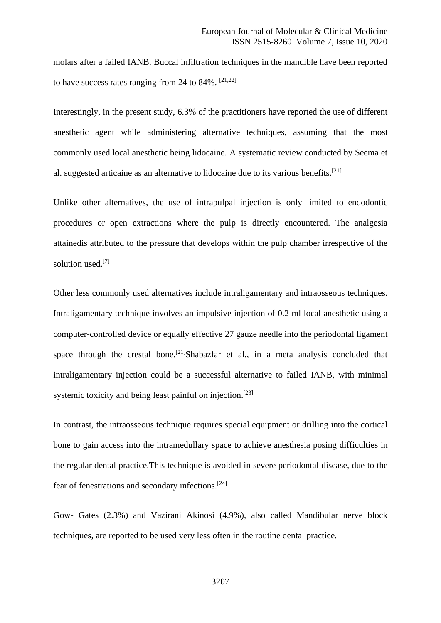molars after a failed IANB. Buccal infiltration techniques in the mandible have been reported to have success rates ranging from 24 to  $84\%$ . [21,22]

Interestingly, in the present study, 6.3% of the practitioners have reported the use of different anesthetic agent while administering alternative techniques, assuming that the most commonly used local anesthetic being lidocaine. A systematic review conducted by Seema et al. suggested articaine as an alternative to lidocaine due to its various benefits.[21]

Unlike other alternatives, the use of intrapulpal injection is only limited to endodontic procedures or open extractions where the pulp is directly encountered. The analgesia attainedis attributed to the pressure that develops within the pulp chamber irrespective of the solution used.<sup>[7]</sup>

Other less commonly used alternatives include intraligamentary and intraosseous techniques. Intraligamentary technique involves an impulsive injection of 0.2 ml local anesthetic using a computer-controlled device or equally effective 27 gauze needle into the periodontal ligament space through the crestal bone.<sup>[21]</sup>Shabazfar et al., in a meta analysis concluded that intraligamentary injection could be a successful alternative to failed IANB, with minimal systemic toxicity and being least painful on injection.<sup>[23]</sup>

In contrast, the intraosseous technique requires special equipment or drilling into the cortical bone to gain access into the intramedullary space to achieve anesthesia posing difficulties in the regular dental practice.This technique is avoided in severe periodontal disease, due to the fear of fenestrations and secondary infections.[24]

Gow- Gates (2.3%) and Vazirani Akinosi (4.9%), also called Mandibular nerve block techniques, are reported to be used very less often in the routine dental practice.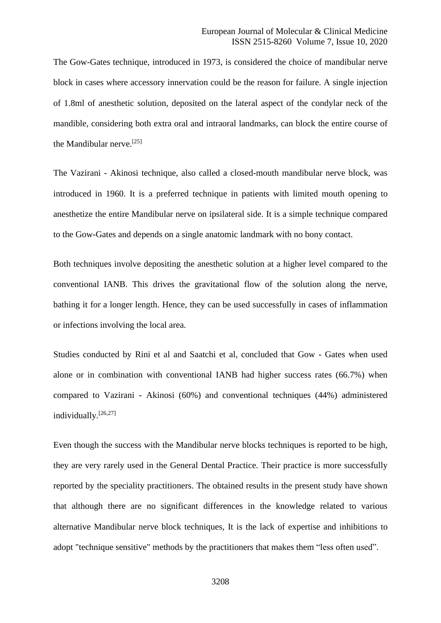The Gow-Gates technique, introduced in 1973, is considered the choice of mandibular nerve block in cases where accessory innervation could be the reason for failure. A single injection of 1.8ml of anesthetic solution, deposited on the lateral aspect of the condylar neck of the mandible, considering both extra oral and intraoral landmarks, can block the entire course of the Mandibular nerve.[25]

The Vazirani - Akinosi technique, also called a closed-mouth mandibular nerve block, was introduced in 1960. It is a preferred technique in patients with limited mouth opening to anesthetize the entire Mandibular nerve on ipsilateral side. It is a simple technique compared to the Gow-Gates and depends on a single anatomic landmark with no bony contact.

Both techniques involve depositing the anesthetic solution at a higher level compared to the conventional IANB. This drives the gravitational flow of the solution along the nerve, bathing it for a longer length. Hence, they can be used successfully in cases of inflammation or infections involving the local area.

Studies conducted by Rini et al and Saatchi et al, concluded that Gow - Gates when used alone or in combination with conventional IANB had higher success rates (66.7%) when compared to Vazirani - Akinosi (60%) and conventional techniques (44%) administered individually.[26,27]

Even though the success with the Mandibular nerve blocks techniques is reported to be high, they are very rarely used in the General Dental Practice. Their practice is more successfully reported by the speciality practitioners. The obtained results in the present study have shown that although there are no significant differences in the knowledge related to various alternative Mandibular nerve block techniques, It is the lack of expertise and inhibitions to adopt "technique sensitive" methods by the practitioners that makes them "less often used".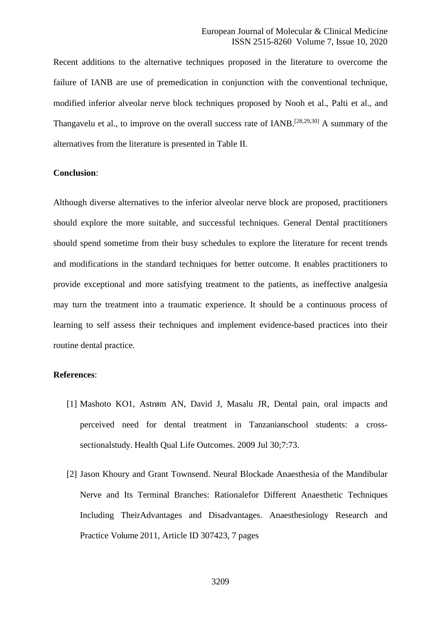Recent additions to the alternative techniques proposed in the literature to overcome the failure of IANB are use of premedication in conjunction with the conventional technique, modified inferior alveolar nerve block techniques proposed by Nooh et al., Palti et al., and Thangavelu et al., to improve on the overall success rate of IANB.<sup>[28,29,30]</sup> A summary of the alternatives from the literature is presented in Table II.

## **Conclusion**:

Although diverse alternatives to the inferior alveolar nerve block are proposed, practitioners should explore the more suitable, and successful techniques. General Dental practitioners should spend sometime from their busy schedules to explore the literature for recent trends and modifications in the standard techniques for better outcome. It enables practitioners to provide exceptional and more satisfying treatment to the patients, as ineffective analgesia may turn the treatment into a traumatic experience. It should be a continuous process of learning to self assess their techniques and implement evidence-based practices into their routine dental practice.

## **References**:

- [1] Mashoto KO1, Astrøm AN, David J, Masalu JR, Dental pain, oral impacts and perceived need for dental treatment in Tanzanianschool students: a crosssectionalstudy. Health Qual Life Outcomes. 2009 Jul 30;7:73.
- [2] Jason Khoury and Grant Townsend. Neural Blockade Anaesthesia of the Mandibular Nerve and Its Terminal Branches: Rationalefor Different Anaesthetic Techniques Including TheirAdvantages and Disadvantages. Anaesthesiology Research and Practice Volume 2011, Article ID 307423, 7 pages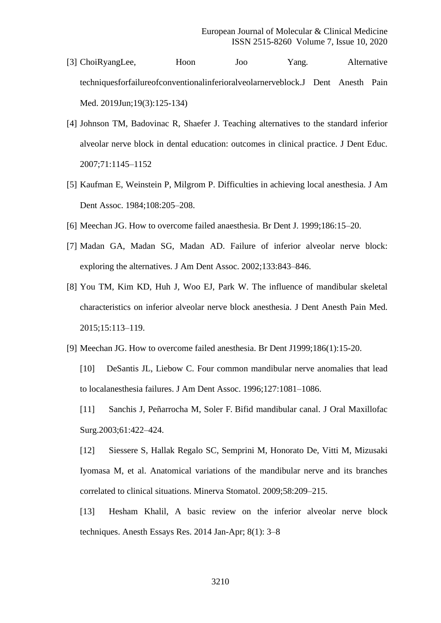- [3] ChoiRyangLee, Hoon Joo Yang. Alternative techniquesforfailureofconventionalinferioralveolarnerveblock.J Dent Anesth Pain Med. 2019Jun;19(3):125-134)
- [4] Johnson TM, Badovinac R, Shaefer J. Teaching alternatives to the standard inferior alveolar nerve block in dental education: outcomes in clinical practice. J Dent Educ. 2007;71:1145–1152
- [5] Kaufman E, Weinstein P, Milgrom P. Difficulties in achieving local anesthesia. J Am Dent Assoc. 1984;108:205–208.
- [6] Meechan JG. How to overcome failed anaesthesia. Br Dent J. 1999;186:15–20.
- [7] Madan GA, Madan SG, Madan AD. Failure of inferior alveolar nerve block: exploring the alternatives. J Am Dent Assoc. 2002;133:843–846.
- [8] You TM, Kim KD, Huh J, Woo EJ, Park W. The influence of mandibular skeletal characteristics on inferior alveolar nerve block anesthesia. J Dent Anesth Pain Med. 2015;15:113–119.
- [9] Meechan JG. How to overcome failed anesthesia. Br Dent J1999;186(1):15-20.
	- [10] DeSantis JL, Liebow C. Four common mandibular nerve anomalies that lead to localanesthesia failures. J Am Dent Assoc. 1996;127:1081–1086.
	- [11] Sanchis J, Peñarrocha M, Soler F. Bifid mandibular canal. J Oral Maxillofac Surg.2003;61:422–424.

[12] Siessere S, Hallak Regalo SC, Semprini M, Honorato De, Vitti M, Mizusaki Iyomasa M, et al. Anatomical variations of the mandibular nerve and its branches correlated to clinical situations. Minerva Stomatol. 2009;58:209–215.

[13] Hesham Khalil, A basic review on the inferior alveolar nerve block techniques. Anesth Essays Res. 2014 Jan-Apr; 8(1): 3–8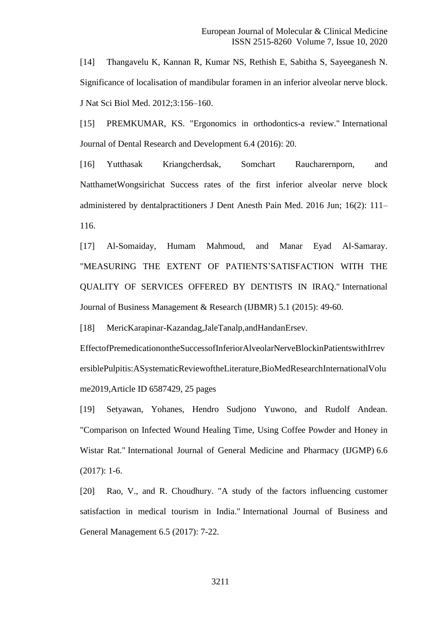[14] Thangavelu K, Kannan R, Kumar NS, Rethish E, Sabitha S, Sayeeganesh N. Significance of localisation of mandibular foramen in an inferior alveolar nerve block. J Nat Sci Biol Med. 2012;3:156–160.

[15] PREMKUMAR, KS. "Ergonomics in orthodontics-a review." International Journal of Dental Research and Development 6.4 (2016): 20.

[16] Yutthasak Kriangcherdsak, Somchart Raucharernporn, and NatthametWongsirichat Success rates of the first inferior alveolar nerve block administered by dentalpractitioners J Dent Anesth Pain Med. 2016 Jun; 16(2): 111– 116.

[17] Al-Somaiday, Humam Mahmoud, and Manar Eyad Al-Samaray. "MEASURING THE EXTENT OF PATIENTS'SATISFACTION WITH THE QUALITY OF SERVICES OFFERED BY DENTISTS IN IRAQ." International Journal of Business Management & Research (IJBMR) 5.1 (2015): 49-60.

[18] MericKarapinar-Kazandag,JaleTanalp,andHandanErsev.

EffectofPremedicationontheSuccessofInferiorAlveolarNerveBlockinPatientswithIrrev ersiblePulpitis:ASystematicReviewoftheLiterature,BioMedResearchInternationalVolu me2019,Article ID 6587429, 25 pages

[19] Setyawan, Yohanes, Hendro Sudjono Yuwono, and Rudolf Andean. "Comparison on Infected Wound Healing Time, Using Coffee Powder and Honey in Wistar Rat." International Journal of General Medicine and Pharmacy (IJGMP) 6.6 (2017): 1-6.

[20] Rao, V., and R. Choudhury. "A study of the factors influencing customer satisfaction in medical tourism in India." International Journal of Business and General Management 6.5 (2017): 7-22.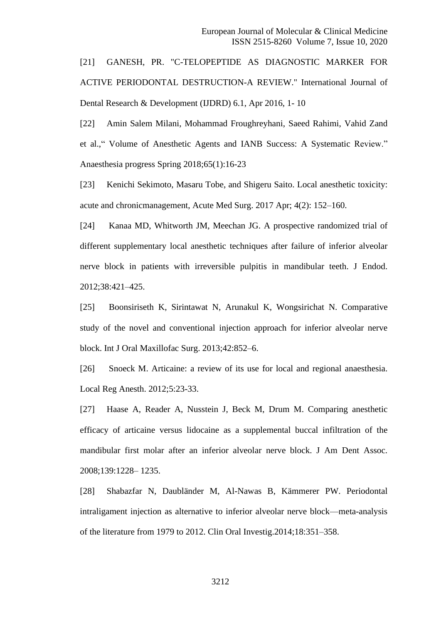[21] GANESH, PR. "C-TELOPEPTIDE AS DIAGNOSTIC MARKER FOR ACTIVE PERIODONTAL DESTRUCTION-A REVIEW." International Journal of Dental Research & Development (IJDRD) 6.1, Apr 2016, 1- 10

[22] Amin Salem Milani, Mohammad Froughreyhani, Saeed Rahimi, Vahid Zand et al.," Volume of Anesthetic Agents and IANB Success: A Systematic Review." Anaesthesia progress Spring 2018;65(1):16-23

[23] Kenichi Sekimoto, Masaru Tobe, and Shigeru Saito. Local anesthetic toxicity: acute and chronicmanagement, Acute Med Surg. 2017 Apr; 4(2): 152–160.

[24] Kanaa MD, Whitworth JM, Meechan JG. A prospective randomized trial of different supplementary local anesthetic techniques after failure of inferior alveolar nerve block in patients with irreversible pulpitis in mandibular teeth. J Endod. 2012;38:421–425.

[25] Boonsiriseth K, Sirintawat N, Arunakul K, Wongsirichat N. Comparative study of the novel and conventional injection approach for inferior alveolar nerve block. Int J Oral Maxillofac Surg. 2013;42:852–6.

[26] Snoeck M. Articaine: a review of its use for local and regional anaesthesia. Local Reg Anesth. 2012;5:23-33.

[27] Haase A, Reader A, Nusstein J, Beck M, Drum M. Comparing anesthetic efficacy of articaine versus lidocaine as a supplemental buccal infiltration of the mandibular first molar after an inferior alveolar nerve block. J Am Dent Assoc. 2008;139:1228– 1235.

[28] Shabazfar N, Daubländer M, Al-Nawas B, Kämmerer PW. Periodontal intraligament injection as alternative to inferior alveolar nerve block—meta-analysis of the literature from 1979 to 2012. Clin Oral Investig.2014;18:351–358.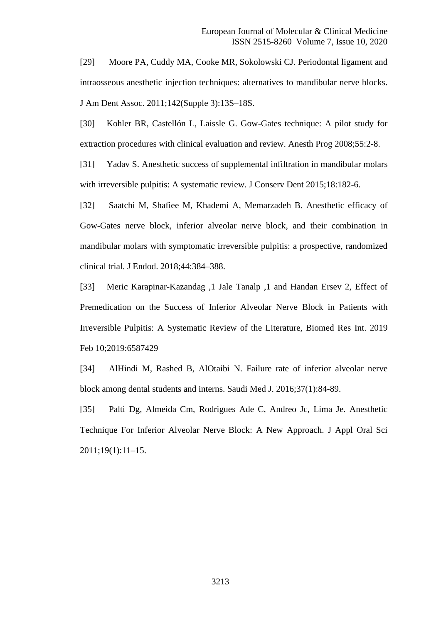[29] Moore PA, Cuddy MA, Cooke MR, Sokolowski CJ. Periodontal ligament and intraosseous anesthetic injection techniques: alternatives to mandibular nerve blocks. J Am Dent Assoc. 2011;142(Supple 3):13S–18S.

[30] Kohler BR, Castellón L, Laissle G. Gow-Gates technique: A pilot study for extraction procedures with clinical evaluation and review. Anesth Prog 2008;55:2-8.

[31] Yadav S. Anesthetic success of supplemental infiltration in mandibular molars with irreversible pulpitis: A systematic review. J Conserv Dent 2015;18:182-6.

[32] Saatchi M, Shafiee M, Khademi A, Memarzadeh B. Anesthetic efficacy of Gow-Gates nerve block, inferior alveolar nerve block, and their combination in mandibular molars with symptomatic irreversible pulpitis: a prospective, randomized clinical trial. J Endod. 2018;44:384–388.

[33] Meric Karapinar-Kazandag ,1 Jale Tanalp ,1 and Handan Ersev 2, Effect of Premedication on the Success of Inferior Alveolar Nerve Block in Patients with Irreversible Pulpitis: A Systematic Review of the Literature, Biomed Res Int. 2019 Feb 10;2019:6587429

[34] AlHindi M, Rashed B, AlOtaibi N. Failure rate of inferior alveolar nerve block among dental students and interns. Saudi Med J. 2016;37(1):84-89.

[35] Palti Dg, Almeida Cm, Rodrigues Ade C, Andreo Jc, Lima Je. Anesthetic Technique For Inferior Alveolar Nerve Block: A New Approach. J Appl Oral Sci 2011;19(1):11–15.

3213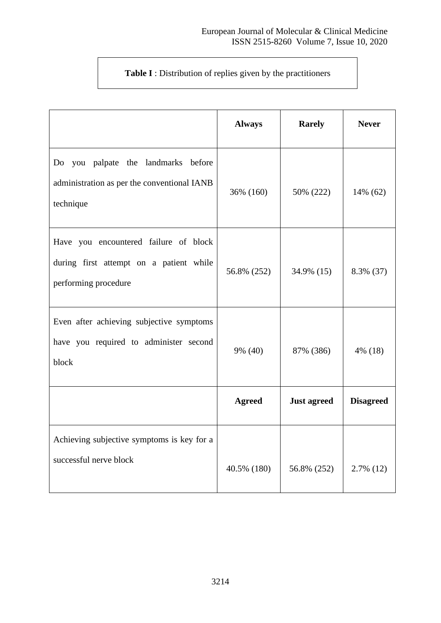# **Table I** : Distribution of replies given by the practitioners

|                                                                                                          | <b>Always</b> | <b>Rarely</b>      | <b>Never</b>     |
|----------------------------------------------------------------------------------------------------------|---------------|--------------------|------------------|
| Do you palpate the landmarks before<br>administration as per the conventional IANB<br>technique          | 36% (160)     | 50% (222)          | 14% (62)         |
| Have you encountered failure of block<br>during first attempt on a patient while<br>performing procedure | 56.8% (252)   | 34.9% (15)         | 8.3% (37)        |
| Even after achieving subjective symptoms<br>have you required to administer second<br>block              | 9% (40)       | 87% (386)          | $4\%$ (18)       |
|                                                                                                          | <b>Agreed</b> | <b>Just agreed</b> | <b>Disagreed</b> |
| Achieving subjective symptoms is key for a<br>successful nerve block                                     | 40.5% (180)   | 56.8% (252)        | $2.7\%$ (12)     |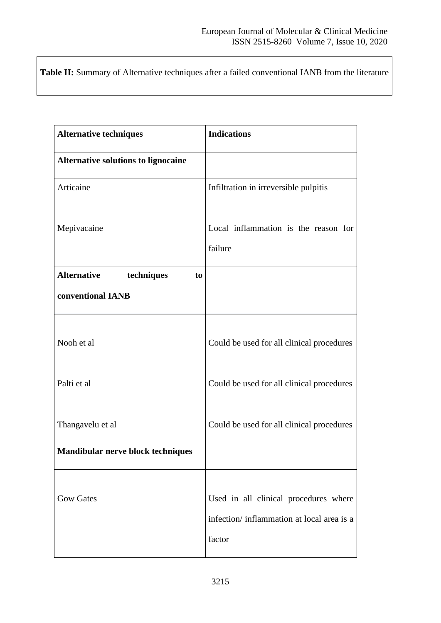**Table II:** Summary of Alternative techniques after a failed conventional IANB from the literature

| <b>Alternative techniques</b>              | <b>Indications</b>                                                                           |
|--------------------------------------------|----------------------------------------------------------------------------------------------|
| <b>Alternative solutions to lignocaine</b> |                                                                                              |
| Articaine                                  | Infiltration in irreversible pulpitis                                                        |
| Mepivacaine                                | Local inflammation is the reason for<br>failure                                              |
| <b>Alternative</b><br>techniques<br>to     |                                                                                              |
| conventional IANB                          |                                                                                              |
| Nooh et al                                 | Could be used for all clinical procedures                                                    |
| Palti et al                                | Could be used for all clinical procedures                                                    |
| Thangavelu et al                           | Could be used for all clinical procedures                                                    |
| Mandibular nerve block techniques          |                                                                                              |
| <b>Gow Gates</b>                           | Used in all clinical procedures where<br>infection/inflammation at local area is a<br>factor |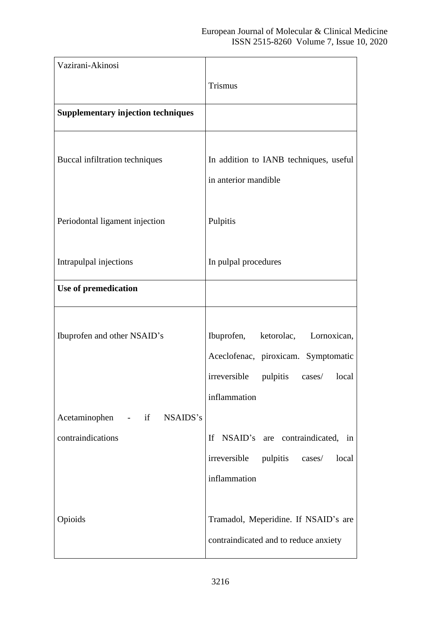| Vazirani-Akinosi                                                                |                                                                                                                                                                                     |
|---------------------------------------------------------------------------------|-------------------------------------------------------------------------------------------------------------------------------------------------------------------------------------|
|                                                                                 | <b>Trismus</b>                                                                                                                                                                      |
| <b>Supplementary injection techniques</b>                                       |                                                                                                                                                                                     |
| Buccal infiltration techniques                                                  | In addition to IANB techniques, useful<br>in anterior mandible                                                                                                                      |
| Periodontal ligament injection                                                  | Pulpitis                                                                                                                                                                            |
| Intrapulpal injections                                                          | In pulpal procedures                                                                                                                                                                |
| Use of premedication                                                            |                                                                                                                                                                                     |
| Ibuprofen and other NSAID's<br>Acetaminophen - if NSAIDS's<br>contraindications | ketorolac, Lornoxican,<br>Ibuprofen,<br>Aceclofenac, piroxicam. Symptomatic<br>irreversible<br>pulpitis<br>local<br>cases/<br>inflammation<br>NSAID's are contraindicated, in<br>If |
|                                                                                 | irreversible pulpitis cases/<br>local<br>inflammation                                                                                                                               |
| Opioids                                                                         | Tramadol, Meperidine. If NSAID's are<br>contraindicated and to reduce anxiety                                                                                                       |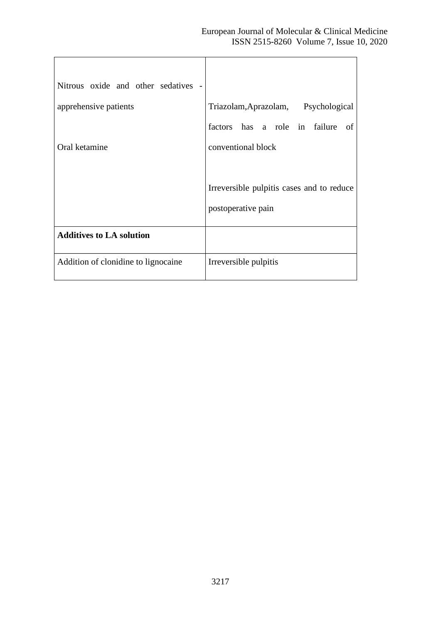| Nitrous oxide and other sedatives - |                                           |
|-------------------------------------|-------------------------------------------|
| apprehensive patients               | Triazolam, Aprazolam, Psychological       |
|                                     | factors has a role in failure<br>-of      |
| Oral ketamine                       | conventional block                        |
|                                     |                                           |
|                                     | Irreversible pulpitis cases and to reduce |
|                                     | postoperative pain                        |
| <b>Additives to LA solution</b>     |                                           |
| Addition of clonidine to lignocaine | Irreversible pulpitis                     |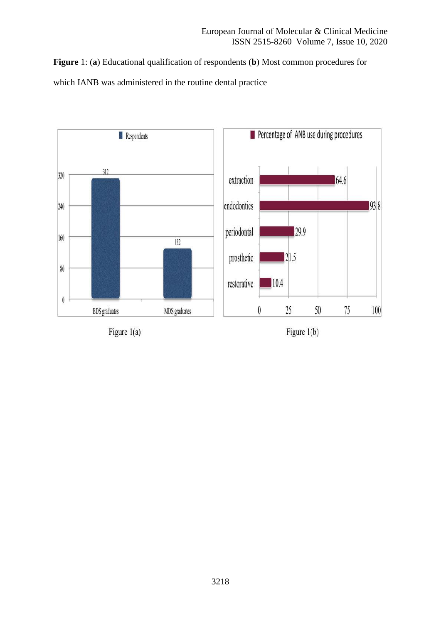**Figure** 1: (**a**) Educational qualification of respondents (**b**) Most common procedures for which IANB was administered in the routine dental practice

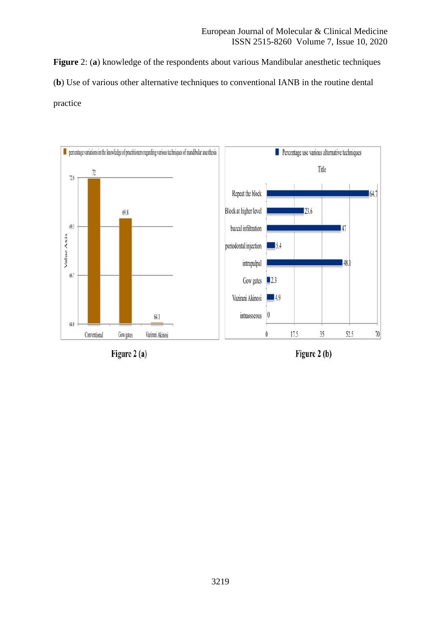**Figure** 2: (**a**) knowledge of the respondents about various Mandibular anesthetic techniques (**b**) Use of various other alternative techniques to conventional IANB in the routine dental practice



Figure 2 (a)